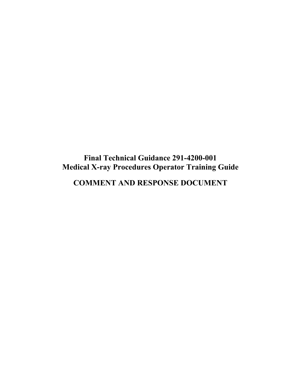# **Final Technical Guidance 291-4200-001 Medical X-ray Procedures Operator Training Guide**

**COMMENT AND RESPONSE DOCUMENT**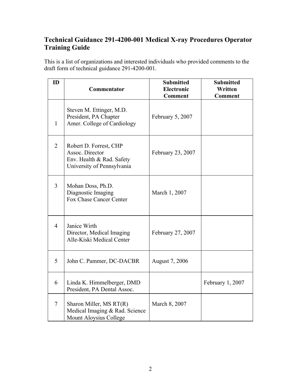## **Technical Guidance 291-4200-001 Medical X-ray Procedures Operator Training Guide**

This is a list of organizations and interested individuals who provided comments to the draft form of technical guidance 291-4200-001.

| ID             | Commentator                                                                                          | <b>Submitted</b><br>Electronic<br><b>Comment</b> | <b>Submitted</b><br>Written<br><b>Comment</b> |
|----------------|------------------------------------------------------------------------------------------------------|--------------------------------------------------|-----------------------------------------------|
| $\mathbf{1}$   | Steven M. Ettinger, M.D.<br>President, PA Chapter<br>Amer. College of Cardiology                     | February 5, 2007                                 |                                               |
| $\overline{2}$ | Robert D. Forrest, CHP<br>Assoc. Director<br>Env. Health & Rad. Safety<br>University of Pennsylvania | February 23, 2007                                |                                               |
| $\overline{3}$ | Mohan Doss, Ph.D.<br>Diagnostic Imaging<br>Fox Chase Cancer Center                                   | March 1, 2007                                    |                                               |
| $\overline{4}$ | Janice Wirth<br>Director, Medical Imaging<br>Alle-Kiski Medical Center                               | February 27, 2007                                |                                               |
| 5              | John C. Pammer, DC-DACBR                                                                             | August 7, 2006                                   |                                               |
| 6              | Linda K. Himmelberger, DMD<br>President, PA Dental Assoc.                                            |                                                  | February 1, 2007                              |
| $\tau$         | Sharon Miller, MS RT(R)<br>Medical Imaging & Rad. Science<br>Mount Aloysius College                  | March 8, 2007                                    |                                               |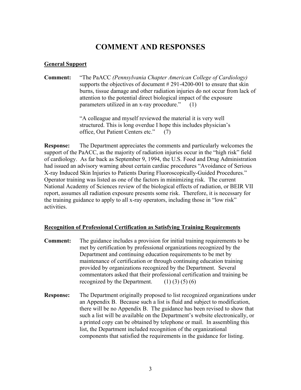## **COMMENT AND RESPONSES**

## **General Support**

**Comment:** "The PaACC *(Pennsylvania Chapter American College of Cardiology)*  supports the objectives of document # 291-4200-001 to ensure that skin burns, tissue damage and other radiation injuries do not occur from lack of attention to the potential direct biological impact of the exposure parameters utilized in an x-ray procedure." (1)

> "A colleague and myself reviewed the material it is very well structured. This is long overdue I hope this includes physician's office, Out Patient Centers etc." (7)

**Response:** The Department appreciates the comments and particularly welcomes the support of the PaACC, as the majority of radiation injuries occur in the "high risk" field of cardiology. As far back as September 9, 1994, the U.S. Food and Drug Administration had issued an advisory warning about certain cardiac procedures "Avoidance of Serious X-ray Induced Skin Injuries to Patients During Fluoroscopically-Guided Procedures." Operator training was listed as one of the factors in minimizing risk. The current National Academy of Sciences review of the biological effects of radiation, or BEIR VII report, assumes all radiation exposure presents some risk. Therefore, it is necessary for the training guidance to apply to all x-ray operators, including those in "low risk" activities.

## **Recognition of Professional Certification as Satisfying Training Requirements**

- **Comment:** The guidance includes a provision for initial training requirements to be met by certification by professional organizations recognized by the Department and continuing education requirements to be met by maintenance of certification or through continuing education training provided by organizations recognized by the Department. Several commentators asked that their professional certification and training be recognized by the Department.  $(1)$   $(3)$   $(5)$   $(6)$
- **Response:** The Department originally proposed to list recognized organizations under an Appendix B. Because such a list is fluid and subject to modification, there will be no Appendix B. The guidance has been revised to show that such a list will be available on the Department's website electronically, or a printed copy can be obtained by telephone or mail. In assembling this list, the Department included recognition of the organizational components that satisfied the requirements in the guidance for listing.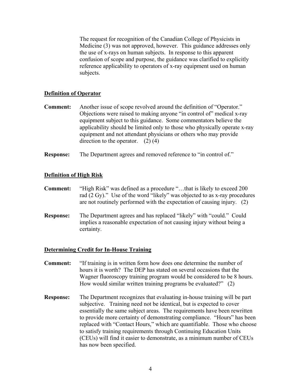The request for recognition of the Canadian College of Physicists in Medicine (3) was not approved, however. This guidance addresses only the use of x-rays on human subjects. In response to this apparent confusion of scope and purpose, the guidance was clarified to explicitly reference applicability to operators of x-ray equipment used on human subjects.

#### **Definition of Operator**

- **Comment:** Another issue of scope revolved around the definition of "Operator." Objections were raised to making anyone "in control of" medical x-ray equipment subject to this guidance. Some commentators believe the applicability should be limited only to those who physically operate x-ray equipment and not attendant physicians or others who may provide direction to the operator.  $(2)$  (4)
- **Response:** The Department agrees and removed reference to "in control of."

#### **Definition of High Risk**

- **Comment:** "High Risk" was defined as a procedure "...that is likely to exceed 200 rad (2 Gy)." Use of the word "likely" was objected to as x-ray procedures are not routinely performed with the expectation of causing injury. (2)
- **Response:** The Department agrees and has replaced "likely" with "could." Could implies a reasonable expectation of not causing injury without being a certainty.

#### **Determining Credit for In-House Training**

- **Comment:** "If training is in written form how does one determine the number of hours it is worth? The DEP has stated on several occasions that the Wagner fluoroscopy training program would be considered to be 8 hours. How would similar written training programs be evaluated?" (2)
- **Response:** The Department recognizes that evaluating in-house training will be part subjective. Training need not be identical, but is expected to cover essentially the same subject areas. The requirements have been rewritten to provide more certainty of demonstrating compliance. "Hours" has been replaced with "Contact Hours," which are quantifiable. Those who choose to satisfy training requirements through Continuing Education Units (CEUs) will find it easier to demonstrate, as a minimum number of CEUs has now been specified.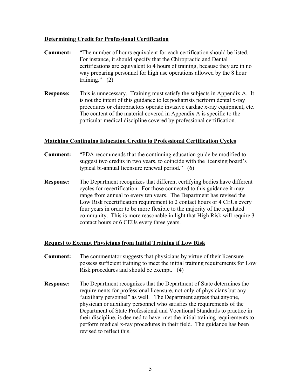## **Determining Credit for Professional Certification**

- **Comment:** "The number of hours equivalent for each certification should be listed. For instance, it should specify that the Chiropractic and Dental certifications are equivalent to 4 hours of training, because they are in no way preparing personnel for high use operations allowed by the 8 hour training."  $(2)$
- **Response:** This is unnecessary. Training must satisfy the subjects in Appendix A. It is not the intent of this guidance to let podiatrists perform dental x-ray procedures or chiropractors operate invasive cardiac x-ray equipment, etc. The content of the material covered in Appendix A is specific to the particular medical discipline covered by professional certification.

#### **Matching Continuing Education Credits to Professional Certification Cycles**

- **Comment:** "PDA recommends that the continuing education guide be modified to suggest two credits in two years, to coincide with the licensing board's typical bi-annual licensure renewal period." (6)
- **Response:** The Department recognizes that different certifying bodies have different cycles for recertification. For those connected to this guidance it may range from annual to every ten years. The Department has revised the Low Risk recertification requirement to 2 contact hours or 4 CEUs every four years in order to be more flexible to the majority of the regulated community. This is more reasonable in light that High Risk will require 3 contact hours or 6 CEUs every three years.

## **Request to Exempt Physicians from Initial Training if Low Risk**

- **Comment:** The commentator suggests that physicians by virtue of their licensure possess sufficient training to meet the initial training requirements for Low Risk procedures and should be exempt. (4)
- **Response:** The Department recognizes that the Department of State determines the requirements for professional licensure, not only of physicians but any "auxiliary personnel" as well. The Department agrees that anyone, physician or auxiliary personnel who satisfies the requirements of the Department of State Professional and Vocational Standards to practice in their discipline, is deemed to have met the initial training requirements to perform medical x-ray procedures in their field. The guidance has been revised to reflect this.